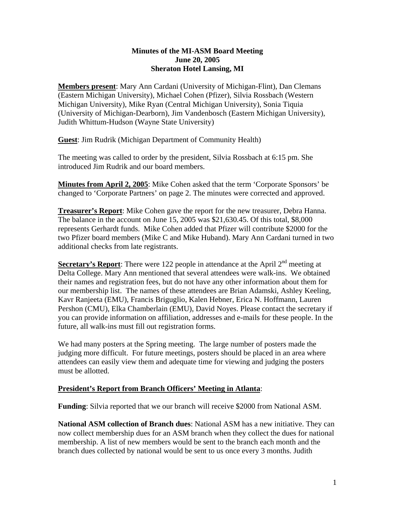## **Minutes of the MI-ASM Board Meeting June 20, 2005 Sheraton Hotel Lansing, MI**

**Members present**: Mary Ann Cardani (University of Michigan-Flint), Dan Clemans (Eastern Michigan University), Michael Cohen (Pfizer), Silvia Rossbach (Western Michigan University), Mike Ryan (Central Michigan University), Sonia Tiquia (University of Michigan-Dearborn), Jim Vandenbosch (Eastern Michigan University), Judith Whittum-Hudson (Wayne State University)

**Guest**: Jim Rudrik (Michigan Department of Community Health)

The meeting was called to order by the president, Silvia Rossbach at 6:15 pm. She introduced Jim Rudrik and our board members.

**Minutes from April 2, 2005**: Mike Cohen asked that the term 'Corporate Sponsors' be changed to 'Corporate Partners' on page 2. The minutes were corrected and approved.

**Treasurer's Report**: Mike Cohen gave the report for the new treasurer, Debra Hanna. The balance in the account on June 15, 2005 was \$21,630.45. Of this total, \$8,000 represents Gerhardt funds. Mike Cohen added that Pfizer will contribute \$2000 for the two Pfizer board members (Mike C and Mike Huband). Mary Ann Cardani turned in two additional checks from late registrants.

**<u>Secretary's Report</u>**: There were 122 people in attendance at the April 2<sup>nd</sup> meeting at Delta College. Mary Ann mentioned that several attendees were walk-ins. We obtained their names and registration fees, but do not have any other information about them for our membership list. The names of these attendees are Brian Adamski, Ashley Keeling, Kavr Ranjeeta (EMU), Francis Briguglio, Kalen Hebner, Erica N. Hoffmann, Lauren Pershon (CMU), Elka Chamberlain (EMU), David Noyes. Please contact the secretary if you can provide information on affiliation, addresses and e-mails for these people. In the future, all walk-ins must fill out registration forms.

We had many posters at the Spring meeting. The large number of posters made the judging more difficult. For future meetings, posters should be placed in an area where attendees can easily view them and adequate time for viewing and judging the posters must be allotted.

## **President's Report from Branch Officers' Meeting in Atlanta**:

**Funding**: Silvia reported that we our branch will receive \$2000 from National ASM.

**National ASM collection of Branch dues**: National ASM has a new initiative. They can now collect membership dues for an ASM branch when they collect the dues for national membership. A list of new members would be sent to the branch each month and the branch dues collected by national would be sent to us once every 3 months. Judith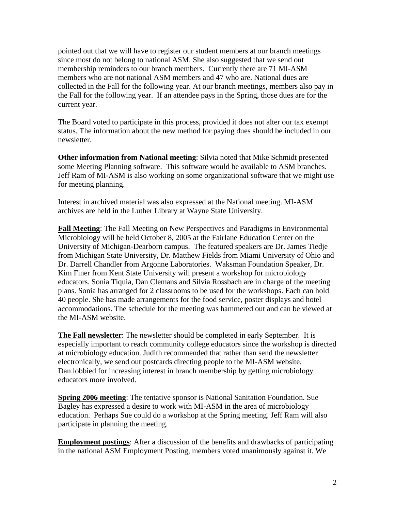pointed out that we will have to register our student members at our branch meetings since most do not belong to national ASM. She also suggested that we send out membership reminders to our branch members. Currently there are 71 MI-ASM members who are not national ASM members and 47 who are. National dues are collected in the Fall for the following year. At our branch meetings, members also pay in the Fall for the following year. If an attendee pays in the Spring, those dues are for the current year.

The Board voted to participate in this process, provided it does not alter our tax exempt status. The information about the new method for paying dues should be included in our newsletter.

**Other information from National meeting**: Silvia noted that Mike Schmidt presented some Meeting Planning software. This software would be available to ASM branches. Jeff Ram of MI-ASM is also working on some organizational software that we might use for meeting planning.

Interest in archived material was also expressed at the National meeting. MI-ASM archives are held in the Luther Library at Wayne State University.

**Fall Meeting**: The Fall Meeting on New Perspectives and Paradigms in Environmental Microbiology will be held October 8, 2005 at the Fairlane Education Center on the University of Michigan-Dearborn campus. The featured speakers are Dr. James Tiedje from Michigan State University, Dr. Matthew Fields from Miami University of Ohio and Dr. Darrell Chandler from Argonne Laboratories. Waksman Foundation Speaker, Dr. Kim Finer from Kent State University will present a workshop for microbiology educators. Sonia Tiquia, Dan Clemans and Silvia Rossbach are in charge of the meeting plans. Sonia has arranged for 2 classrooms to be used for the workshops. Each can hold 40 people. She has made arrangements for the food service, poster displays and hotel accommodations. The schedule for the meeting was hammered out and can be viewed at the MI-ASM website.

**The Fall newsletter**: The newsletter should be completed in early September. It is especially important to reach community college educators since the workshop is directed at microbiology education. Judith recommended that rather than send the newsletter electronically, we send out postcards directing people to the MI-ASM website. Dan lobbied for increasing interest in branch membership by getting microbiology educators more involved.

**Spring 2006 meeting**: The tentative sponsor is National Sanitation Foundation. Sue Bagley has expressed a desire to work with MI-ASM in the area of microbiology education. Perhaps Sue could do a workshop at the Spring meeting. Jeff Ram will also participate in planning the meeting.

**Employment postings**: After a discussion of the benefits and drawbacks of participating in the national ASM Employment Posting, members voted unanimously against it. We